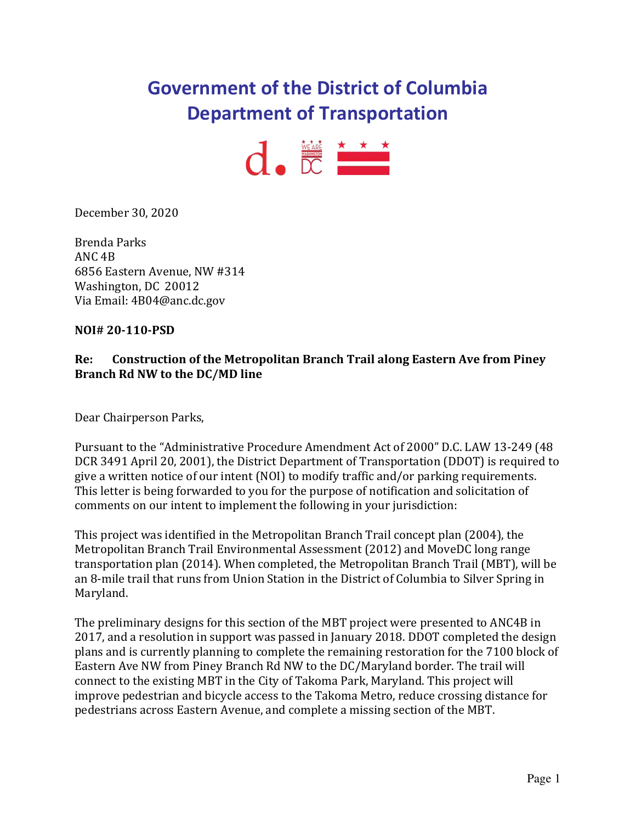# **Government of the District of Columbia Department of Transportation**



December 30, 2020

Brenda Parks ANC 4B 6856 Eastern Avenue, NW #314 Washington, DC 20012 Via Email: 4B04@anc.dc.gov

#### **NOI# 20-110-PSD**

#### **Re: Construction of the Metropolitan Branch Trail along Eastern Ave from Piney Branch Rd NW to the DC/MD line**

Dear Chairperson Parks,

Pursuant to the "Administrative Procedure Amendment Act of 2000" D.C. LAW 13-249 (48 DCR 3491 April 20, 2001), the District Department of Transportation (DDOT) is required to give a written notice of our intent (NOI) to modify traffic and/or parking requirements. This letter is being forwarded to you for the purpose of notification and solicitation of comments on our intent to implement the following in your jurisdiction:

This project was identified in the Metropolitan Branch Trail concept plan (2004), the Metropolitan Branch Trail Environmental Assessment (2012) and MoveDC long range transportation plan (2014). When completed, the Metropolitan Branch Trail (MBT), will be an 8-mile trail that runs from Union Station in the District of Columbia to Silver Spring in Maryland.

The preliminary designs for this section of the MBT project were presented to ANC4B in 2017, and a resolution in support was passed in January 2018. DDOT completed the design plans and is currently planning to complete the remaining restoration for the 7100 block of Eastern Ave NW from Piney Branch Rd NW to the DC/Maryland border. The trail will connect to the existing MBT in the City of Takoma Park, Maryland. This project will improve pedestrian and bicycle access to the Takoma Metro, reduce crossing distance for pedestrians across Eastern Avenue, and complete a missing section of the MBT.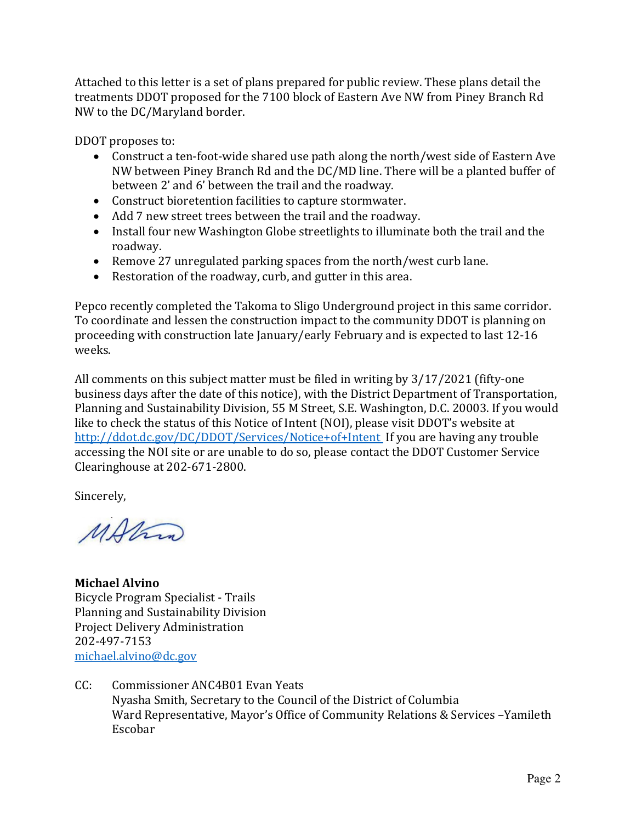Attached to this letter is a set of plans prepared for public review. These plans detail the treatments DDOT proposed for the 7100 block of Eastern Ave NW from Piney Branch Rd NW to the DC/Maryland border.

DDOT proposes to:

- Construct a ten-foot-wide shared use path along the north/west side of Eastern Ave NW between Piney Branch Rd and the DC/MD line. There will be a planted buffer of between 2' and 6' between the trail and the roadway.
- Construct bioretention facilities to capture stormwater.
- Add 7 new street trees between the trail and the roadway.
- Install four new Washington Globe streetlights to illuminate both the trail and the roadway.
- Remove 27 unregulated parking spaces from the north/west curb lane.
- Restoration of the roadway, curb, and gutter in this area.

Pepco recently completed the Takoma to Sligo Underground project in this same corridor. To coordinate and lessen the construction impact to the community DDOT is planning on proceeding with construction late January/early February and is expected to last 12-16 weeks.

All comments on this subject matter must be filed in writing by 3/17/2021 (fifty-one business days after the date of this notice), with the District Department of Transportation, Planning and Sustainability Division, 55 M Street, S.E. Washington, D.C. 20003. If you would like to check the status of this Notice of Intent (NOI), please visit DDOT's website at <http://ddot.dc.gov/DC/DDOT/Services/Notice+of+Intent>If you are having any trouble accessing the NOI site or are unable to do so, please contact the DDOT Customer Service Clearinghouse at 202-671-2800.

Sincerely,

MARIA

**Michael Alvino** Bicycle Program Specialist - Trails Planning and Sustainability Division Project Delivery Administration 202-497-7153 [michael.alvino@dc.gov](mailto:michael.alvino@dc.gov) 

CC: Commissioner ANC4B01 Evan Yeats Nyasha Smith, Secretary to the Council of the District of Columbia Ward Representative, Mayor's Office of Community Relations & Services –Yamileth Escobar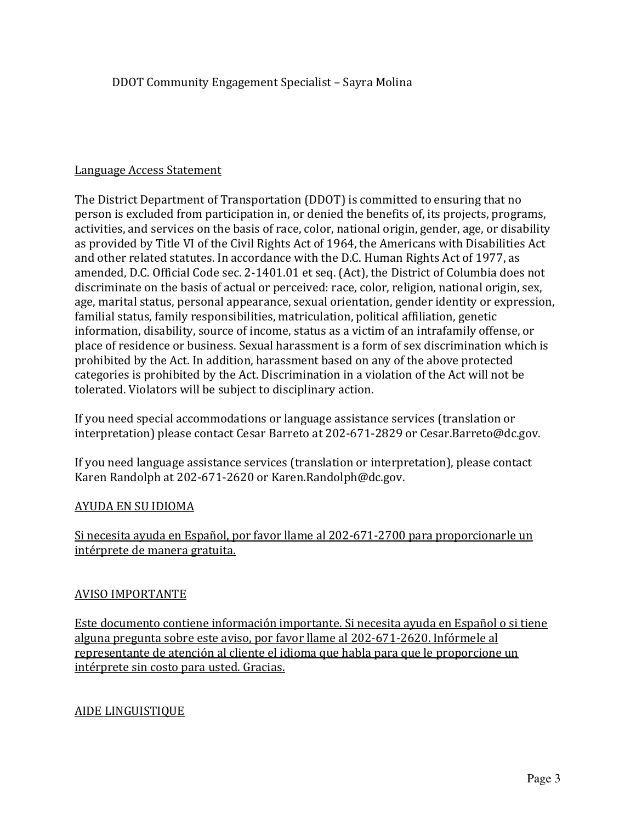#### Language Access Statement

The District Department of Transportation (DDOT) is committed to ensuring that no person is excluded from participation in, or denied the benefits of, its projects, programs, activities, and services on the basis of race, color, national origin, gender, age, or disability as provided by Title VI of the Civil Rights Act of 1964, the Americans with Disabilities Act and other related statutes. In accordance with the D.C. Human Rights Act of 1977, as amended, D.C. Official Code sec. 2-1401.01 et seq. (Act), the District of Columbia does not discriminate on the basis of actual or perceived: race, color, religion, national origin, sex, age, marital status, personal appearance, sexual orientation, gender identity or expression, familial status, family responsibilities, matriculation, political affiliation, genetic information, disability, source of income, status as a victim of an intrafamily offense, or place of residence or business. Sexual harassment is a form of sex discrimination which is prohibited by the Act. In addition, harassment based on any of the above protected categories is prohibited by the Act. Discrimination in a violation of the Act will not be tolerated. Violators will be subject to disciplinary action.

If you need special accommodations or language assistance services (translation or interpretation) please contact Cesar Barreto at 202-671-2829 or Cesar.Barreto@dc.gov.

If you need language assistance services (translation or interpretation), please contact Karen Randolph at 202-671-2620 or Karen.Randolph@dc.gov.

#### AYUDA EN SU IDIOMA

Si necesita ayuda en Español, por favor llame al 202-671-2700 para proporcionarle un intérprete de manera gratuita.

#### AVISO IMPORTANTE

Este documento contiene información importante. Si necesita ayuda en Español o si tiene alguna pregunta sobre este aviso, por favor llame al 202-671-2620. Infórmele al representante de atención al cliente el idioma que habla para que le proporcione un intérprete sin costo para usted. Gracias.

#### AIDE LINGUISTIQUE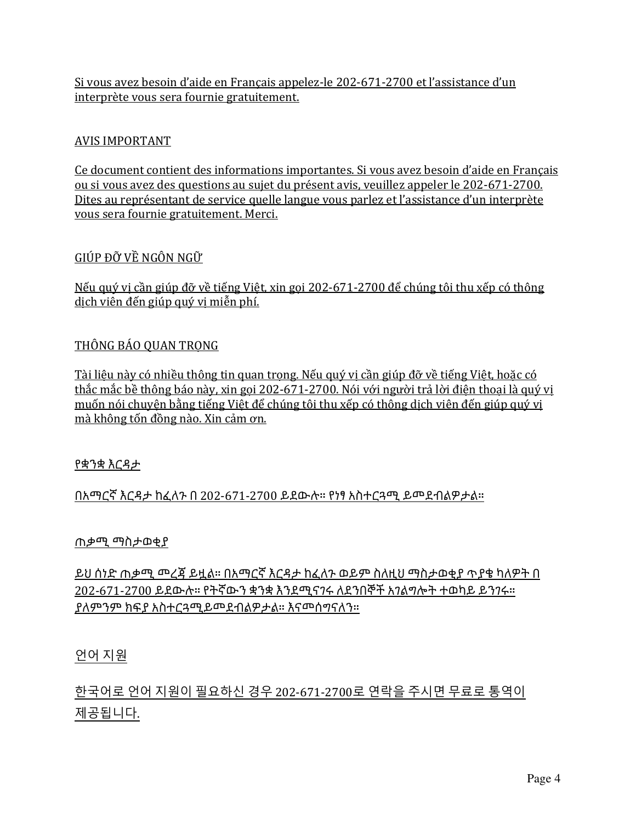Si vous avez besoin d'aide en Français appelez-le 202-671-2700 et l'assistance d'un interprète vous sera fournie gratuitement.

#### AVIS IMPORTANT

Ce document contient des informations importantes. Si vous avez besoin d'aide en Français ou si vous avez des questions au sujet du présent avis, veuillez appeler le 202-671-2700. Dites au représentant de service quelle langue vous parlez et l'assistance d'un interprète vous sera fournie gratuitement. Merci.

#### GIÚP ĐỠ VỀ NGÔN NGỮ

Nếu quý vị cần giúp đỡ về tiếng Việt, xin gọi 202-671-2700 để chúng tôi thu xếp có thông dịch viên đến giúp quý vị miễn phí.

#### THÔNG BÁO QUAN TRONG

Tài liệu này có nhiều thông tin quan trọng. Nếu quý vị cần giúp đỡ về tiếng Việt, hoặc có thắc mắc bề thông báo này, xin gọi 202-671-2700. Nói với người trả lời điện thoại là quý vị muốn nói chuyện bằng tiếng Việt để chúng tôi thu xếp có thông dịch viên đến giúp quý vị mà không tốn đồng nào. Xin cảm ơn.

#### የቋንቋ እርዳታ

በአማርኛ እርዳታ ከፈለጉ በ 202-671-2700 ይደውሉ። የነፃ አስተርጓሚ ይመደብልዎታል።

#### ጠቃሚ ማስታወቂያ

ይህ ሰነድ ጠቃሚ መረጃ ይዟል። በአማርኛ እርዳታ ከፈለጉ ወይም ስለዚህ ማስታወቂያ ጥያቄ ካለዎት በ 202-671-2700 ይደውሉ። የትኛውን ቋንቋ እንደሚናገሩ ለደንበኞች አገልግሎት ተወካይ ይንገሩ። ያለምንም ክፍያ አስተርጓሚይመደብልዎታል። እናመሰግናለን።

#### 언어 지원

한국어로 언어 지원이 필요하신 경우 202-671-2700로 연락을 주시면 무료로 통역이 제공됩니다.